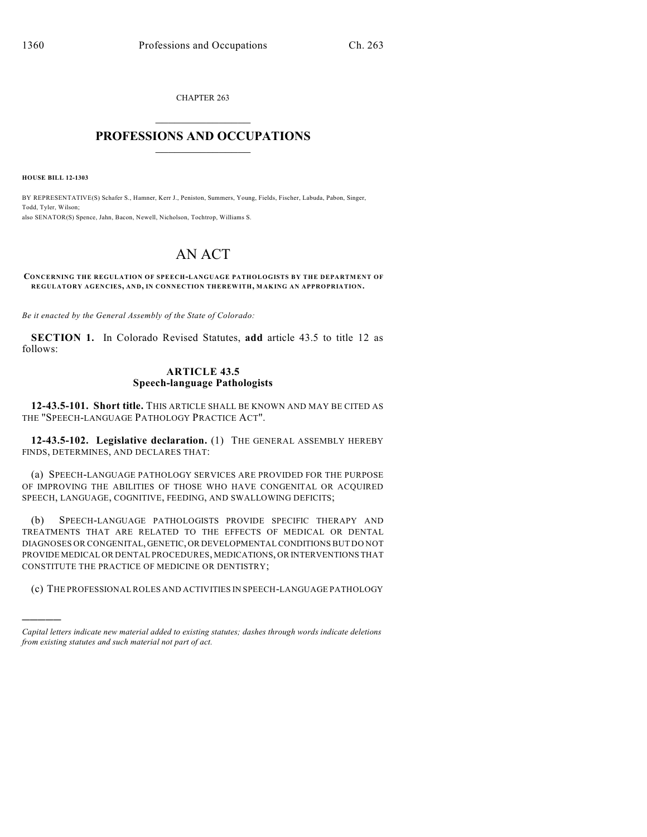CHAPTER 263  $\overline{\phantom{a}}$  . The set of the set of the set of the set of the set of the set of the set of the set of the set of the set of the set of the set of the set of the set of the set of the set of the set of the set of the set o

## **PROFESSIONS AND OCCUPATIONS**  $\frac{1}{2}$  ,  $\frac{1}{2}$  ,  $\frac{1}{2}$  ,  $\frac{1}{2}$  ,  $\frac{1}{2}$  ,  $\frac{1}{2}$

**HOUSE BILL 12-1303**

)))))

BY REPRESENTATIVE(S) Schafer S., Hamner, Kerr J., Peniston, Summers, Young, Fields, Fischer, Labuda, Pabon, Singer, Todd, Tyler, Wilson; also SENATOR(S) Spence, Jahn, Bacon, Newell, Nicholson, Tochtrop, Williams S.

## AN ACT

## **CONCERNING THE REGULATION OF SPEECH-LANGUAGE PATHOLOGISTS BY THE DEPARTMENT OF REGULATORY AGENCIES, AND, IN CONNECTION THEREWITH, MAKING AN APPROPRIATION.**

*Be it enacted by the General Assembly of the State of Colorado:*

**SECTION 1.** In Colorado Revised Statutes, **add** article 43.5 to title 12 as follows:

## **ARTICLE 43.5 Speech-language Pathologists**

**12-43.5-101. Short title.** THIS ARTICLE SHALL BE KNOWN AND MAY BE CITED AS THE "SPEECH-LANGUAGE PATHOLOGY PRACTICE ACT".

**12-43.5-102. Legislative declaration.** (1) THE GENERAL ASSEMBLY HEREBY FINDS, DETERMINES, AND DECLARES THAT:

(a) SPEECH-LANGUAGE PATHOLOGY SERVICES ARE PROVIDED FOR THE PURPOSE OF IMPROVING THE ABILITIES OF THOSE WHO HAVE CONGENITAL OR ACQUIRED SPEECH, LANGUAGE, COGNITIVE, FEEDING, AND SWALLOWING DEFICITS;

(b) SPEECH-LANGUAGE PATHOLOGISTS PROVIDE SPECIFIC THERAPY AND TREATMENTS THAT ARE RELATED TO THE EFFECTS OF MEDICAL OR DENTAL DIAGNOSES OR CONGENITAL, GENETIC, OR DEVELOPMENTAL CONDITIONS BUT DO NOT PROVIDE MEDICAL OR DENTAL PROCEDURES, MEDICATIONS, OR INTERVENTIONS THAT CONSTITUTE THE PRACTICE OF MEDICINE OR DENTISTRY;

(c) THE PROFESSIONAL ROLES AND ACTIVITIES IN SPEECH-LANGUAGE PATHOLOGY

*Capital letters indicate new material added to existing statutes; dashes through words indicate deletions from existing statutes and such material not part of act.*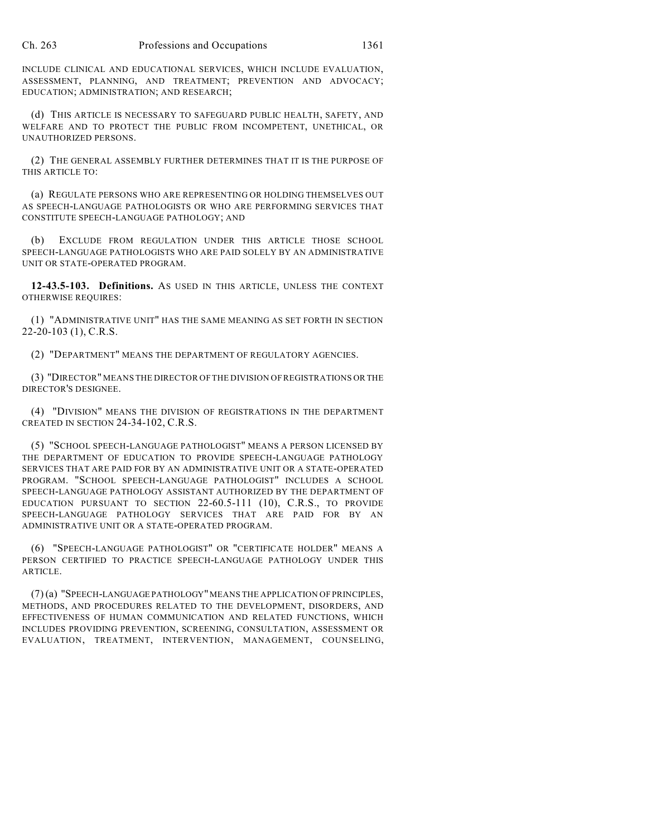INCLUDE CLINICAL AND EDUCATIONAL SERVICES, WHICH INCLUDE EVALUATION, ASSESSMENT, PLANNING, AND TREATMENT; PREVENTION AND ADVOCACY; EDUCATION; ADMINISTRATION; AND RESEARCH;

(d) THIS ARTICLE IS NECESSARY TO SAFEGUARD PUBLIC HEALTH, SAFETY, AND WELFARE AND TO PROTECT THE PUBLIC FROM INCOMPETENT, UNETHICAL, OR UNAUTHORIZED PERSONS.

(2) THE GENERAL ASSEMBLY FURTHER DETERMINES THAT IT IS THE PURPOSE OF THIS ARTICLE TO:

(a) REGULATE PERSONS WHO ARE REPRESENTING OR HOLDING THEMSELVES OUT AS SPEECH-LANGUAGE PATHOLOGISTS OR WHO ARE PERFORMING SERVICES THAT CONSTITUTE SPEECH-LANGUAGE PATHOLOGY; AND

(b) EXCLUDE FROM REGULATION UNDER THIS ARTICLE THOSE SCHOOL SPEECH-LANGUAGE PATHOLOGISTS WHO ARE PAID SOLELY BY AN ADMINISTRATIVE UNIT OR STATE-OPERATED PROGRAM.

**12-43.5-103. Definitions.** AS USED IN THIS ARTICLE, UNLESS THE CONTEXT OTHERWISE REQUIRES:

(1) "ADMINISTRATIVE UNIT" HAS THE SAME MEANING AS SET FORTH IN SECTION 22-20-103 (1), C.R.S.

(2) "DEPARTMENT" MEANS THE DEPARTMENT OF REGULATORY AGENCIES.

(3) "DIRECTOR" MEANS THE DIRECTOR OF THE DIVISION OF REGISTRATIONS OR THE DIRECTOR'S DESIGNEE.

(4) "DIVISION" MEANS THE DIVISION OF REGISTRATIONS IN THE DEPARTMENT CREATED IN SECTION 24-34-102, C.R.S.

(5) "SCHOOL SPEECH-LANGUAGE PATHOLOGIST" MEANS A PERSON LICENSED BY THE DEPARTMENT OF EDUCATION TO PROVIDE SPEECH-LANGUAGE PATHOLOGY SERVICES THAT ARE PAID FOR BY AN ADMINISTRATIVE UNIT OR A STATE-OPERATED PROGRAM. "SCHOOL SPEECH-LANGUAGE PATHOLOGIST" INCLUDES A SCHOOL SPEECH-LANGUAGE PATHOLOGY ASSISTANT AUTHORIZED BY THE DEPARTMENT OF EDUCATION PURSUANT TO SECTION 22-60.5-111 (10), C.R.S., TO PROVIDE SPEECH-LANGUAGE PATHOLOGY SERVICES THAT ARE PAID FOR BY AN ADMINISTRATIVE UNIT OR A STATE-OPERATED PROGRAM.

(6) "SPEECH-LANGUAGE PATHOLOGIST" OR "CERTIFICATE HOLDER" MEANS A PERSON CERTIFIED TO PRACTICE SPEECH-LANGUAGE PATHOLOGY UNDER THIS ARTICLE.

(7) (a) "SPEECH-LANGUAGE PATHOLOGY"MEANS THE APPLICATION OF PRINCIPLES, METHODS, AND PROCEDURES RELATED TO THE DEVELOPMENT, DISORDERS, AND EFFECTIVENESS OF HUMAN COMMUNICATION AND RELATED FUNCTIONS, WHICH INCLUDES PROVIDING PREVENTION, SCREENING, CONSULTATION, ASSESSMENT OR EVALUATION, TREATMENT, INTERVENTION, MANAGEMENT, COUNSELING,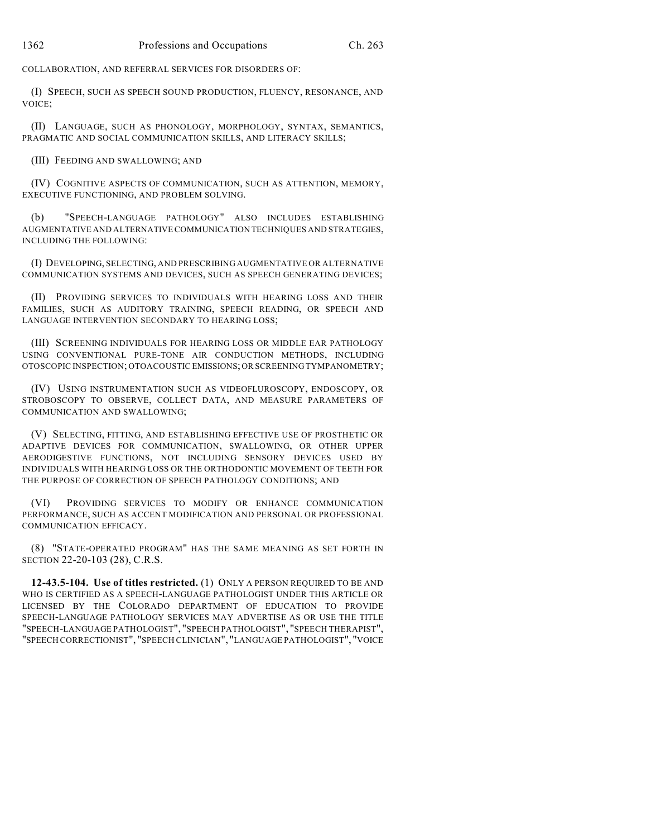COLLABORATION, AND REFERRAL SERVICES FOR DISORDERS OF:

(I) SPEECH, SUCH AS SPEECH SOUND PRODUCTION, FLUENCY, RESONANCE, AND VOICE;

(II) LANGUAGE, SUCH AS PHONOLOGY, MORPHOLOGY, SYNTAX, SEMANTICS, PRAGMATIC AND SOCIAL COMMUNICATION SKILLS, AND LITERACY SKILLS;

(III) FEEDING AND SWALLOWING; AND

(IV) COGNITIVE ASPECTS OF COMMUNICATION, SUCH AS ATTENTION, MEMORY, EXECUTIVE FUNCTIONING, AND PROBLEM SOLVING.

(b) "SPEECH-LANGUAGE PATHOLOGY" ALSO INCLUDES ESTABLISHING AUGMENTATIVE AND ALTERNATIVE COMMUNICATION TECHNIQUES AND STRATEGIES, INCLUDING THE FOLLOWING:

(I) DEVELOPING, SELECTING, AND PRESCRIBING AUGMENTATIVE OR ALTERNATIVE COMMUNICATION SYSTEMS AND DEVICES, SUCH AS SPEECH GENERATING DEVICES;

(II) PROVIDING SERVICES TO INDIVIDUALS WITH HEARING LOSS AND THEIR FAMILIES, SUCH AS AUDITORY TRAINING, SPEECH READING, OR SPEECH AND LANGUAGE INTERVENTION SECONDARY TO HEARING LOSS;

(III) SCREENING INDIVIDUALS FOR HEARING LOSS OR MIDDLE EAR PATHOLOGY USING CONVENTIONAL PURE-TONE AIR CONDUCTION METHODS, INCLUDING OTOSCOPIC INSPECTION; OTOACOUSTIC EMISSIONS;OR SCREENING TYMPANOMETRY;

(IV) USING INSTRUMENTATION SUCH AS VIDEOFLUROSCOPY, ENDOSCOPY, OR STROBOSCOPY TO OBSERVE, COLLECT DATA, AND MEASURE PARAMETERS OF COMMUNICATION AND SWALLOWING;

(V) SELECTING, FITTING, AND ESTABLISHING EFFECTIVE USE OF PROSTHETIC OR ADAPTIVE DEVICES FOR COMMUNICATION, SWALLOWING, OR OTHER UPPER AERODIGESTIVE FUNCTIONS, NOT INCLUDING SENSORY DEVICES USED BY INDIVIDUALS WITH HEARING LOSS OR THE ORTHODONTIC MOVEMENT OF TEETH FOR THE PURPOSE OF CORRECTION OF SPEECH PATHOLOGY CONDITIONS; AND

(VI) PROVIDING SERVICES TO MODIFY OR ENHANCE COMMUNICATION PERFORMANCE, SUCH AS ACCENT MODIFICATION AND PERSONAL OR PROFESSIONAL COMMUNICATION EFFICACY.

(8) "STATE-OPERATED PROGRAM" HAS THE SAME MEANING AS SET FORTH IN SECTION 22-20-103 (28), C.R.S.

**12-43.5-104. Use of titles restricted.** (1) ONLY A PERSON REQUIRED TO BE AND WHO IS CERTIFIED AS A SPEECH-LANGUAGE PATHOLOGIST UNDER THIS ARTICLE OR LICENSED BY THE COLORADO DEPARTMENT OF EDUCATION TO PROVIDE SPEECH-LANGUAGE PATHOLOGY SERVICES MAY ADVERTISE AS OR USE THE TITLE "SPEECH-LANGUAGE PATHOLOGIST", "SPEECH PATHOLOGIST", "SPEECH THERAPIST", "SPEECH CORRECTIONIST", "SPEECH CLINICIAN", "LANGUAGE PATHOLOGIST", "VOICE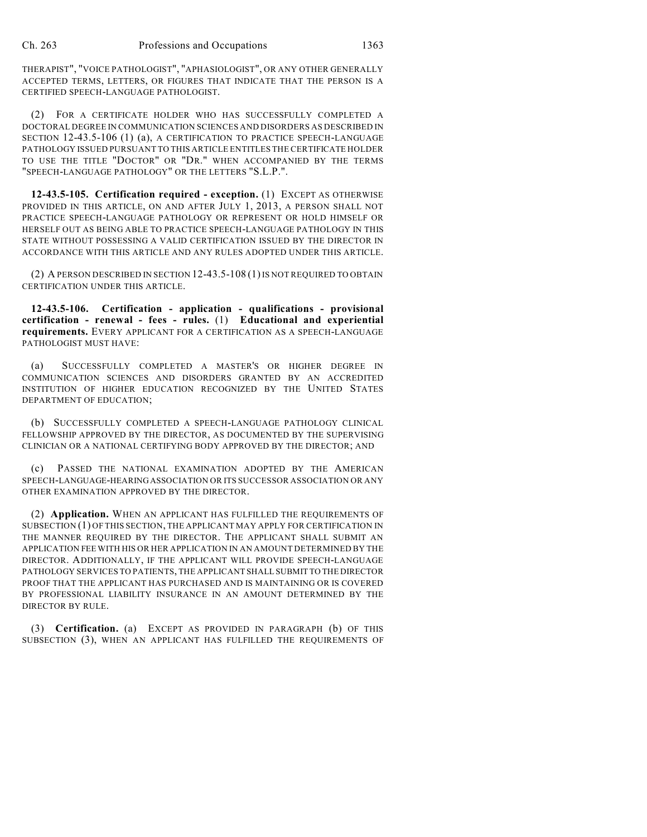THERAPIST", "VOICE PATHOLOGIST", "APHASIOLOGIST", OR ANY OTHER GENERALLY ACCEPTED TERMS, LETTERS, OR FIGURES THAT INDICATE THAT THE PERSON IS A CERTIFIED SPEECH-LANGUAGE PATHOLOGIST.

(2) FOR A CERTIFICATE HOLDER WHO HAS SUCCESSFULLY COMPLETED A DOCTORAL DEGREE IN COMMUNICATION SCIENCES AND DISORDERS AS DESCRIBED IN SECTION 12-43.5-106 (1) (a), A CERTIFICATION TO PRACTICE SPEECH-LANGUAGE PATHOLOGY ISSUED PURSUANT TO THIS ARTICLE ENTITLES THE CERTIFICATE HOLDER TO USE THE TITLE "DOCTOR" OR "DR." WHEN ACCOMPANIED BY THE TERMS "SPEECH-LANGUAGE PATHOLOGY" OR THE LETTERS "S.L.P.".

**12-43.5-105. Certification required - exception.** (1) EXCEPT AS OTHERWISE PROVIDED IN THIS ARTICLE, ON AND AFTER JULY 1, 2013, A PERSON SHALL NOT PRACTICE SPEECH-LANGUAGE PATHOLOGY OR REPRESENT OR HOLD HIMSELF OR HERSELF OUT AS BEING ABLE TO PRACTICE SPEECH-LANGUAGE PATHOLOGY IN THIS STATE WITHOUT POSSESSING A VALID CERTIFICATION ISSUED BY THE DIRECTOR IN ACCORDANCE WITH THIS ARTICLE AND ANY RULES ADOPTED UNDER THIS ARTICLE.

(2) A PERSON DESCRIBED IN SECTION 12-43.5-108 (1)IS NOT REQUIRED TO OBTAIN CERTIFICATION UNDER THIS ARTICLE.

**12-43.5-106. Certification - application - qualifications - provisional certification - renewal - fees - rules.** (1) **Educational and experiential requirements.** EVERY APPLICANT FOR A CERTIFICATION AS A SPEECH-LANGUAGE PATHOLOGIST MUST HAVE:

(a) SUCCESSFULLY COMPLETED A MASTER'S OR HIGHER DEGREE IN COMMUNICATION SCIENCES AND DISORDERS GRANTED BY AN ACCREDITED INSTITUTION OF HIGHER EDUCATION RECOGNIZED BY THE UNITED STATES DEPARTMENT OF EDUCATION;

(b) SUCCESSFULLY COMPLETED A SPEECH-LANGUAGE PATHOLOGY CLINICAL FELLOWSHIP APPROVED BY THE DIRECTOR, AS DOCUMENTED BY THE SUPERVISING CLINICIAN OR A NATIONAL CERTIFYING BODY APPROVED BY THE DIRECTOR; AND

PASSED THE NATIONAL EXAMINATION ADOPTED BY THE AMERICAN SPEECH-LANGUAGE-HEARINGASSOCIATION OR ITS SUCCESSOR ASSOCIATION OR ANY OTHER EXAMINATION APPROVED BY THE DIRECTOR.

(2) **Application.** WHEN AN APPLICANT HAS FULFILLED THE REQUIREMENTS OF SUBSECTION (1) OF THIS SECTION, THE APPLICANT MAY APPLY FOR CERTIFICATION IN THE MANNER REQUIRED BY THE DIRECTOR. THE APPLICANT SHALL SUBMIT AN APPLICATION FEE WITH HIS OR HER APPLICATION IN AN AMOUNT DETERMINED BY THE DIRECTOR. ADDITIONALLY, IF THE APPLICANT WILL PROVIDE SPEECH-LANGUAGE PATHOLOGY SERVICES TO PATIENTS, THE APPLICANT SHALL SUBMIT TO THE DIRECTOR PROOF THAT THE APPLICANT HAS PURCHASED AND IS MAINTAINING OR IS COVERED BY PROFESSIONAL LIABILITY INSURANCE IN AN AMOUNT DETERMINED BY THE DIRECTOR BY RULE.

(3) **Certification.** (a) EXCEPT AS PROVIDED IN PARAGRAPH (b) OF THIS SUBSECTION (3), WHEN AN APPLICANT HAS FULFILLED THE REQUIREMENTS OF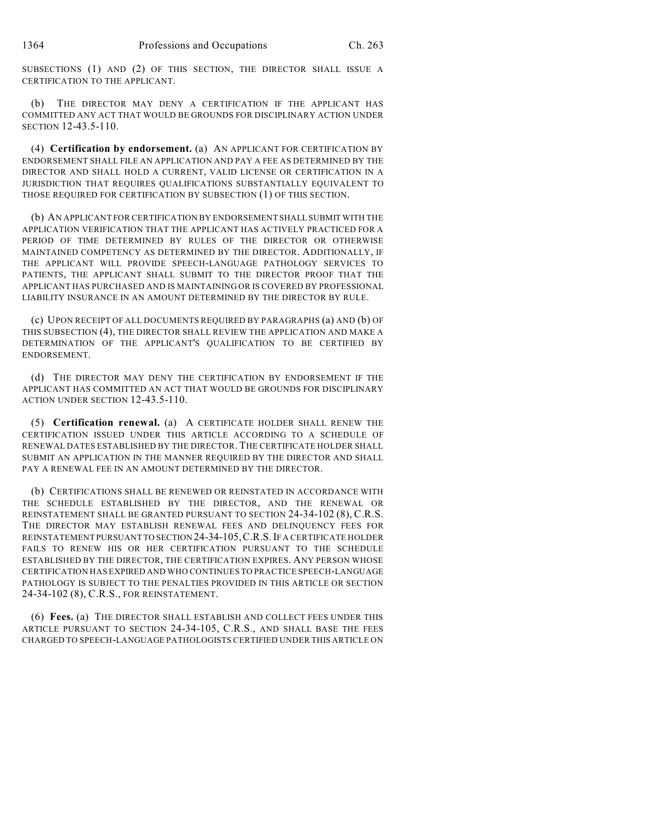SUBSECTIONS (1) AND (2) OF THIS SECTION, THE DIRECTOR SHALL ISSUE A CERTIFICATION TO THE APPLICANT.

(b) THE DIRECTOR MAY DENY A CERTIFICATION IF THE APPLICANT HAS COMMITTED ANY ACT THAT WOULD BE GROUNDS FOR DISCIPLINARY ACTION UNDER SECTION 12-43.5-110.

(4) **Certification by endorsement.** (a) AN APPLICANT FOR CERTIFICATION BY ENDORSEMENT SHALL FILE AN APPLICATION AND PAY A FEE AS DETERMINED BY THE DIRECTOR AND SHALL HOLD A CURRENT, VALID LICENSE OR CERTIFICATION IN A JURISDICTION THAT REQUIRES QUALIFICATIONS SUBSTANTIALLY EQUIVALENT TO THOSE REQUIRED FOR CERTIFICATION BY SUBSECTION (1) OF THIS SECTION.

(b) AN APPLICANT FOR CERTIFICATION BY ENDORSEMENT SHALL SUBMIT WITH THE APPLICATION VERIFICATION THAT THE APPLICANT HAS ACTIVELY PRACTICED FOR A PERIOD OF TIME DETERMINED BY RULES OF THE DIRECTOR OR OTHERWISE MAINTAINED COMPETENCY AS DETERMINED BY THE DIRECTOR. ADDITIONALLY, IF THE APPLICANT WILL PROVIDE SPEECH-LANGUAGE PATHOLOGY SERVICES TO PATIENTS, THE APPLICANT SHALL SUBMIT TO THE DIRECTOR PROOF THAT THE APPLICANT HAS PURCHASED AND IS MAINTAINING OR IS COVERED BY PROFESSIONAL LIABILITY INSURANCE IN AN AMOUNT DETERMINED BY THE DIRECTOR BY RULE.

(c) UPON RECEIPT OF ALL DOCUMENTS REQUIRED BY PARAGRAPHS (a) AND (b) OF THIS SUBSECTION (4), THE DIRECTOR SHALL REVIEW THE APPLICATION AND MAKE A DETERMINATION OF THE APPLICANT'S QUALIFICATION TO BE CERTIFIED BY ENDORSEMENT.

(d) THE DIRECTOR MAY DENY THE CERTIFICATION BY ENDORSEMENT IF THE APPLICANT HAS COMMITTED AN ACT THAT WOULD BE GROUNDS FOR DISCIPLINARY ACTION UNDER SECTION 12-43.5-110.

(5) **Certification renewal.** (a) A CERTIFICATE HOLDER SHALL RENEW THE CERTIFICATION ISSUED UNDER THIS ARTICLE ACCORDING TO A SCHEDULE OF RENEWAL DATES ESTABLISHED BY THE DIRECTOR. THE CERTIFICATE HOLDER SHALL SUBMIT AN APPLICATION IN THE MANNER REQUIRED BY THE DIRECTOR AND SHALL PAY A RENEWAL FEE IN AN AMOUNT DETERMINED BY THE DIRECTOR.

(b) CERTIFICATIONS SHALL BE RENEWED OR REINSTATED IN ACCORDANCE WITH THE SCHEDULE ESTABLISHED BY THE DIRECTOR, AND THE RENEWAL OR REINSTATEMENT SHALL BE GRANTED PURSUANT TO SECTION 24-34-102 (8), C.R.S. THE DIRECTOR MAY ESTABLISH RENEWAL FEES AND DELINQUENCY FEES FOR REINSTATEMENT PURSUANT TO SECTION 24-34-105,C.R.S.IF A CERTIFICATE HOLDER FAILS TO RENEW HIS OR HER CERTIFICATION PURSUANT TO THE SCHEDULE ESTABLISHED BY THE DIRECTOR, THE CERTIFICATION EXPIRES. ANY PERSON WHOSE CERTIFICATION HAS EXPIRED AND WHO CONTINUES TO PRACTICE SPEECH-LANGUAGE PATHOLOGY IS SUBJECT TO THE PENALTIES PROVIDED IN THIS ARTICLE OR SECTION 24-34-102 (8), C.R.S., FOR REINSTATEMENT.

(6) **Fees.** (a) THE DIRECTOR SHALL ESTABLISH AND COLLECT FEES UNDER THIS ARTICLE PURSUANT TO SECTION 24-34-105, C.R.S., AND SHALL BASE THE FEES CHARGED TO SPEECH-LANGUAGE PATHOLOGISTS CERTIFIED UNDER THIS ARTICLE ON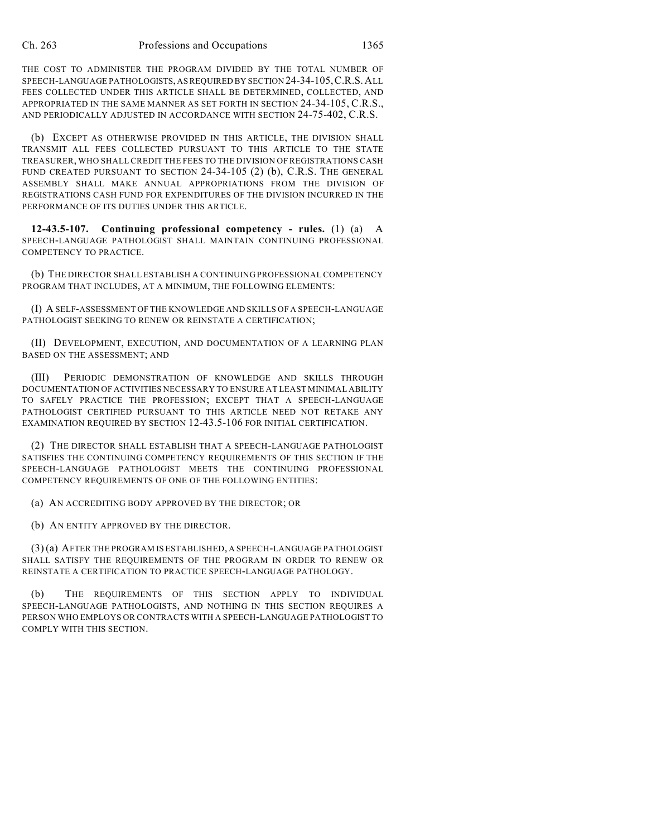THE COST TO ADMINISTER THE PROGRAM DIVIDED BY THE TOTAL NUMBER OF SPEECH-LANGUAGE PATHOLOGISTS, ASREQUIRED BY SECTION 24-34-105,C.R.S.ALL FEES COLLECTED UNDER THIS ARTICLE SHALL BE DETERMINED, COLLECTED, AND APPROPRIATED IN THE SAME MANNER AS SET FORTH IN SECTION 24-34-105, C.R.S., AND PERIODICALLY ADJUSTED IN ACCORDANCE WITH SECTION 24-75-402, C.R.S.

(b) EXCEPT AS OTHERWISE PROVIDED IN THIS ARTICLE, THE DIVISION SHALL TRANSMIT ALL FEES COLLECTED PURSUANT TO THIS ARTICLE TO THE STATE TREASURER, WHO SHALL CREDIT THE FEES TO THE DIVISION OF REGISTRATIONS CASH FUND CREATED PURSUANT TO SECTION 24-34-105 (2) (b), C.R.S. THE GENERAL ASSEMBLY SHALL MAKE ANNUAL APPROPRIATIONS FROM THE DIVISION OF REGISTRATIONS CASH FUND FOR EXPENDITURES OF THE DIVISION INCURRED IN THE PERFORMANCE OF ITS DUTIES UNDER THIS ARTICLE.

**12-43.5-107. Continuing professional competency - rules.** (1) (a) A SPEECH-LANGUAGE PATHOLOGIST SHALL MAINTAIN CONTINUING PROFESSIONAL COMPETENCY TO PRACTICE.

(b) THE DIRECTOR SHALL ESTABLISH A CONTINUING PROFESSIONAL COMPETENCY PROGRAM THAT INCLUDES, AT A MINIMUM, THE FOLLOWING ELEMENTS:

(I) A SELF-ASSESSMENT OF THE KNOWLEDGE AND SKILLS OF A SPEECH-LANGUAGE PATHOLOGIST SEEKING TO RENEW OR REINSTATE A CERTIFICATION;

(II) DEVELOPMENT, EXECUTION, AND DOCUMENTATION OF A LEARNING PLAN BASED ON THE ASSESSMENT; AND

(III) PERIODIC DEMONSTRATION OF KNOWLEDGE AND SKILLS THROUGH DOCUMENTATION OF ACTIVITIES NECESSARY TO ENSURE AT LEAST MINIMAL ABILITY TO SAFELY PRACTICE THE PROFESSION; EXCEPT THAT A SPEECH-LANGUAGE PATHOLOGIST CERTIFIED PURSUANT TO THIS ARTICLE NEED NOT RETAKE ANY EXAMINATION REQUIRED BY SECTION 12-43.5-106 FOR INITIAL CERTIFICATION.

(2) THE DIRECTOR SHALL ESTABLISH THAT A SPEECH-LANGUAGE PATHOLOGIST SATISFIES THE CONTINUING COMPETENCY REQUIREMENTS OF THIS SECTION IF THE SPEECH-LANGUAGE PATHOLOGIST MEETS THE CONTINUING PROFESSIONAL COMPETENCY REQUIREMENTS OF ONE OF THE FOLLOWING ENTITIES:

(a) AN ACCREDITING BODY APPROVED BY THE DIRECTOR; OR

(b) AN ENTITY APPROVED BY THE DIRECTOR.

(3) (a) AFTER THE PROGRAM IS ESTABLISHED, A SPEECH-LANGUAGE PATHOLOGIST SHALL SATISFY THE REQUIREMENTS OF THE PROGRAM IN ORDER TO RENEW OR REINSTATE A CERTIFICATION TO PRACTICE SPEECH-LANGUAGE PATHOLOGY.

THE REQUIREMENTS OF THIS SECTION APPLY TO INDIVIDUAL SPEECH-LANGUAGE PATHOLOGISTS, AND NOTHING IN THIS SECTION REQUIRES A PERSON WHO EMPLOYS OR CONTRACTS WITH A SPEECH-LANGUAGE PATHOLOGIST TO COMPLY WITH THIS SECTION.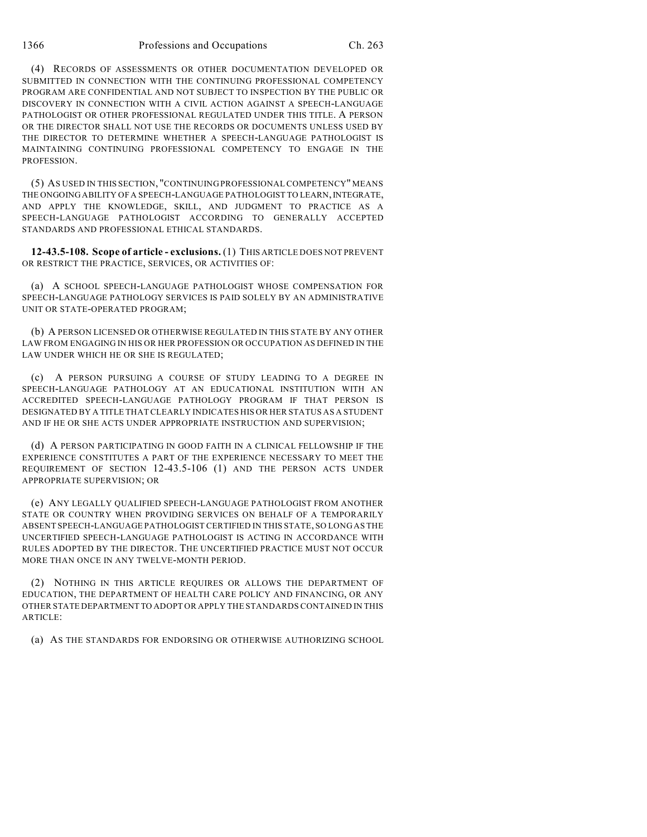(4) RECORDS OF ASSESSMENTS OR OTHER DOCUMENTATION DEVELOPED OR SUBMITTED IN CONNECTION WITH THE CONTINUING PROFESSIONAL COMPETENCY PROGRAM ARE CONFIDENTIAL AND NOT SUBJECT TO INSPECTION BY THE PUBLIC OR DISCOVERY IN CONNECTION WITH A CIVIL ACTION AGAINST A SPEECH-LANGUAGE PATHOLOGIST OR OTHER PROFESSIONAL REGULATED UNDER THIS TITLE. A PERSON OR THE DIRECTOR SHALL NOT USE THE RECORDS OR DOCUMENTS UNLESS USED BY THE DIRECTOR TO DETERMINE WHETHER A SPEECH-LANGUAGE PATHOLOGIST IS MAINTAINING CONTINUING PROFESSIONAL COMPETENCY TO ENGAGE IN THE PROFESSION.

(5) AS USED IN THIS SECTION, "CONTINUING PROFESSIONAL COMPETENCY" MEANS THE ONGOING ABILITY OF A SPEECH-LANGUAGE PATHOLOGIST TO LEARN, INTEGRATE, AND APPLY THE KNOWLEDGE, SKILL, AND JUDGMENT TO PRACTICE AS A SPEECH-LANGUAGE PATHOLOGIST ACCORDING TO GENERALLY ACCEPTED STANDARDS AND PROFESSIONAL ETHICAL STANDARDS.

**12-43.5-108. Scope of article - exclusions.** (1) THIS ARTICLE DOES NOT PREVENT OR RESTRICT THE PRACTICE, SERVICES, OR ACTIVITIES OF:

(a) A SCHOOL SPEECH-LANGUAGE PATHOLOGIST WHOSE COMPENSATION FOR SPEECH-LANGUAGE PATHOLOGY SERVICES IS PAID SOLELY BY AN ADMINISTRATIVE UNIT OR STATE-OPERATED PROGRAM;

(b) A PERSON LICENSED OR OTHERWISE REGULATED IN THIS STATE BY ANY OTHER LAW FROM ENGAGING IN HIS OR HER PROFESSION OR OCCUPATION AS DEFINED IN THE LAW UNDER WHICH HE OR SHE IS REGULATED;

(c) A PERSON PURSUING A COURSE OF STUDY LEADING TO A DEGREE IN SPEECH-LANGUAGE PATHOLOGY AT AN EDUCATIONAL INSTITUTION WITH AN ACCREDITED SPEECH-LANGUAGE PATHOLOGY PROGRAM IF THAT PERSON IS DESIGNATED BY A TITLE THATCLEARLY INDICATES HIS OR HER STATUS AS A STUDENT AND IF HE OR SHE ACTS UNDER APPROPRIATE INSTRUCTION AND SUPERVISION;

(d) A PERSON PARTICIPATING IN GOOD FAITH IN A CLINICAL FELLOWSHIP IF THE EXPERIENCE CONSTITUTES A PART OF THE EXPERIENCE NECESSARY TO MEET THE REQUIREMENT OF SECTION 12-43.5-106 (1) AND THE PERSON ACTS UNDER APPROPRIATE SUPERVISION; OR

(e) ANY LEGALLY QUALIFIED SPEECH-LANGUAGE PATHOLOGIST FROM ANOTHER STATE OR COUNTRY WHEN PROVIDING SERVICES ON BEHALF OF A TEMPORARILY ABSENT SPEECH-LANGUAGE PATHOLOGIST CERTIFIED IN THIS STATE, SO LONG AS THE UNCERTIFIED SPEECH-LANGUAGE PATHOLOGIST IS ACTING IN ACCORDANCE WITH RULES ADOPTED BY THE DIRECTOR. THE UNCERTIFIED PRACTICE MUST NOT OCCUR MORE THAN ONCE IN ANY TWELVE-MONTH PERIOD.

(2) NOTHING IN THIS ARTICLE REQUIRES OR ALLOWS THE DEPARTMENT OF EDUCATION, THE DEPARTMENT OF HEALTH CARE POLICY AND FINANCING, OR ANY OTHER STATE DEPARTMENT TO ADOPT OR APPLY THE STANDARDS CONTAINED IN THIS ARTICLE:

(a) AS THE STANDARDS FOR ENDORSING OR OTHERWISE AUTHORIZING SCHOOL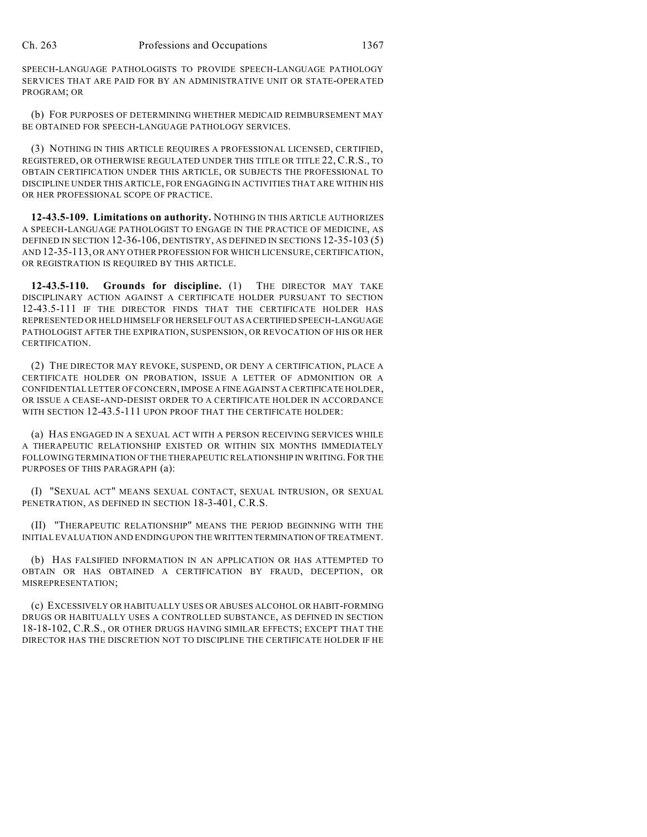SPEECH-LANGUAGE PATHOLOGISTS TO PROVIDE SPEECH-LANGUAGE PATHOLOGY SERVICES THAT ARE PAID FOR BY AN ADMINISTRATIVE UNIT OR STATE-OPERATED PROGRAM; OR

(b) FOR PURPOSES OF DETERMINING WHETHER MEDICAID REIMBURSEMENT MAY BE OBTAINED FOR SPEECH-LANGUAGE PATHOLOGY SERVICES.

(3) NOTHING IN THIS ARTICLE REQUIRES A PROFESSIONAL LICENSED, CERTIFIED, REGISTERED, OR OTHERWISE REGULATED UNDER THIS TITLE OR TITLE 22, C.R.S., TO OBTAIN CERTIFICATION UNDER THIS ARTICLE, OR SUBJECTS THE PROFESSIONAL TO DISCIPLINE UNDER THIS ARTICLE, FOR ENGAGING IN ACTIVITIES THAT ARE WITHIN HIS OR HER PROFESSIONAL SCOPE OF PRACTICE.

**12-43.5-109. Limitations on authority.** NOTHING IN THIS ARTICLE AUTHORIZES A SPEECH-LANGUAGE PATHOLOGIST TO ENGAGE IN THE PRACTICE OF MEDICINE, AS DEFINED IN SECTION 12-36-106, DENTISTRY, AS DEFINED IN SECTIONS 12-35-103 (5) AND 12-35-113, OR ANY OTHER PROFESSION FOR WHICH LICENSURE, CERTIFICATION, OR REGISTRATION IS REQUIRED BY THIS ARTICLE.

**12-43.5-110. Grounds for discipline.** (1) THE DIRECTOR MAY TAKE DISCIPLINARY ACTION AGAINST A CERTIFICATE HOLDER PURSUANT TO SECTION 12-43.5-111 IF THE DIRECTOR FINDS THAT THE CERTIFICATE HOLDER HAS REPRESENTED OR HELD HIMSELF OR HERSELF OUT AS A CERTIFIED SPEECH-LANGUAGE PATHOLOGIST AFTER THE EXPIRATION, SUSPENSION, OR REVOCATION OF HIS OR HER CERTIFICATION.

(2) THE DIRECTOR MAY REVOKE, SUSPEND, OR DENY A CERTIFICATION, PLACE A CERTIFICATE HOLDER ON PROBATION, ISSUE A LETTER OF ADMONITION OR A CONFIDENTIAL LETTER OF CONCERN, IMPOSE A FINE AGAINST A CERTIFICATE HOLDER, OR ISSUE A CEASE-AND-DESIST ORDER TO A CERTIFICATE HOLDER IN ACCORDANCE WITH SECTION 12-43.5-111 UPON PROOF THAT THE CERTIFICATE HOLDER:

(a) HAS ENGAGED IN A SEXUAL ACT WITH A PERSON RECEIVING SERVICES WHILE A THERAPEUTIC RELATIONSHIP EXISTED OR WITHIN SIX MONTHS IMMEDIATELY FOLLOWING TERMINATION OF THE THERAPEUTIC RELATIONSHIP IN WRITING.FOR THE PURPOSES OF THIS PARAGRAPH (a):

(I) "SEXUAL ACT" MEANS SEXUAL CONTACT, SEXUAL INTRUSION, OR SEXUAL PENETRATION, AS DEFINED IN SECTION 18-3-401, C.R.S.

(II) "THERAPEUTIC RELATIONSHIP" MEANS THE PERIOD BEGINNING WITH THE INITIAL EVALUATION AND ENDING UPON THE WRITTEN TERMINATION OFTREATMENT.

(b) HAS FALSIFIED INFORMATION IN AN APPLICATION OR HAS ATTEMPTED TO OBTAIN OR HAS OBTAINED A CERTIFICATION BY FRAUD, DECEPTION, OR MISREPRESENTATION;

(c) EXCESSIVELY OR HABITUALLY USES OR ABUSES ALCOHOL OR HABIT-FORMING DRUGS OR HABITUALLY USES A CONTROLLED SUBSTANCE, AS DEFINED IN SECTION 18-18-102, C.R.S., OR OTHER DRUGS HAVING SIMILAR EFFECTS; EXCEPT THAT THE DIRECTOR HAS THE DISCRETION NOT TO DISCIPLINE THE CERTIFICATE HOLDER IF HE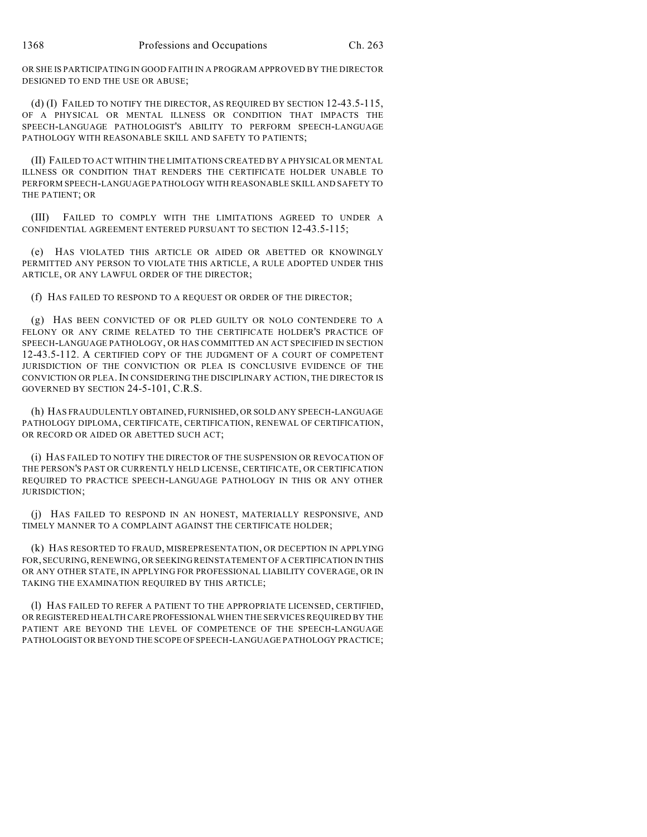OR SHE IS PARTICIPATING IN GOOD FAITH IN A PROGRAM APPROVED BY THE DIRECTOR DESIGNED TO END THE USE OR ABUSE;

(d) (I) FAILED TO NOTIFY THE DIRECTOR, AS REQUIRED BY SECTION 12-43.5-115, OF A PHYSICAL OR MENTAL ILLNESS OR CONDITION THAT IMPACTS THE SPEECH-LANGUAGE PATHOLOGIST'S ABILITY TO PERFORM SPEECH-LANGUAGE PATHOLOGY WITH REASONABLE SKILL AND SAFETY TO PATIENTS;

(II) FAILED TO ACT WITHIN THE LIMITATIONS CREATED BY A PHYSICAL OR MENTAL ILLNESS OR CONDITION THAT RENDERS THE CERTIFICATE HOLDER UNABLE TO PERFORM SPEECH-LANGUAGE PATHOLOGY WITH REASONABLE SKILL AND SAFETY TO THE PATIENT; OR

(III) FAILED TO COMPLY WITH THE LIMITATIONS AGREED TO UNDER A CONFIDENTIAL AGREEMENT ENTERED PURSUANT TO SECTION 12-43.5-115;

(e) HAS VIOLATED THIS ARTICLE OR AIDED OR ABETTED OR KNOWINGLY PERMITTED ANY PERSON TO VIOLATE THIS ARTICLE, A RULE ADOPTED UNDER THIS ARTICLE, OR ANY LAWFUL ORDER OF THE DIRECTOR;

(f) HAS FAILED TO RESPOND TO A REQUEST OR ORDER OF THE DIRECTOR;

(g) HAS BEEN CONVICTED OF OR PLED GUILTY OR NOLO CONTENDERE TO A FELONY OR ANY CRIME RELATED TO THE CERTIFICATE HOLDER'S PRACTICE OF SPEECH-LANGUAGE PATHOLOGY, OR HAS COMMITTED AN ACT SPECIFIED IN SECTION 12-43.5-112. A CERTIFIED COPY OF THE JUDGMENT OF A COURT OF COMPETENT JURISDICTION OF THE CONVICTION OR PLEA IS CONCLUSIVE EVIDENCE OF THE CONVICTION OR PLEA.IN CONSIDERING THE DISCIPLINARY ACTION, THE DIRECTOR IS GOVERNED BY SECTION 24-5-101, C.R.S.

(h) HAS FRAUDULENTLY OBTAINED, FURNISHED, OR SOLD ANY SPEECH-LANGUAGE PATHOLOGY DIPLOMA, CERTIFICATE, CERTIFICATION, RENEWAL OF CERTIFICATION, OR RECORD OR AIDED OR ABETTED SUCH ACT;

(i) HAS FAILED TO NOTIFY THE DIRECTOR OF THE SUSPENSION OR REVOCATION OF THE PERSON'S PAST OR CURRENTLY HELD LICENSE, CERTIFICATE, OR CERTIFICATION REQUIRED TO PRACTICE SPEECH-LANGUAGE PATHOLOGY IN THIS OR ANY OTHER JURISDICTION;

(j) HAS FAILED TO RESPOND IN AN HONEST, MATERIALLY RESPONSIVE, AND TIMELY MANNER TO A COMPLAINT AGAINST THE CERTIFICATE HOLDER;

(k) HAS RESORTED TO FRAUD, MISREPRESENTATION, OR DECEPTION IN APPLYING FOR, SECURING, RENEWING, OR SEEKING REINSTATEMENT OF A CERTIFICATION IN THIS OR ANY OTHER STATE, IN APPLYING FOR PROFESSIONAL LIABILITY COVERAGE, OR IN TAKING THE EXAMINATION REQUIRED BY THIS ARTICLE;

(l) HAS FAILED TO REFER A PATIENT TO THE APPROPRIATE LICENSED, CERTIFIED, OR REGISTERED HEALTH CARE PROFESSIONAL WHEN THE SERVICES REQUIRED BY THE PATIENT ARE BEYOND THE LEVEL OF COMPETENCE OF THE SPEECH-LANGUAGE PATHOLOGIST OR BEYOND THE SCOPE OF SPEECH-LANGUAGE PATHOLOGY PRACTICE;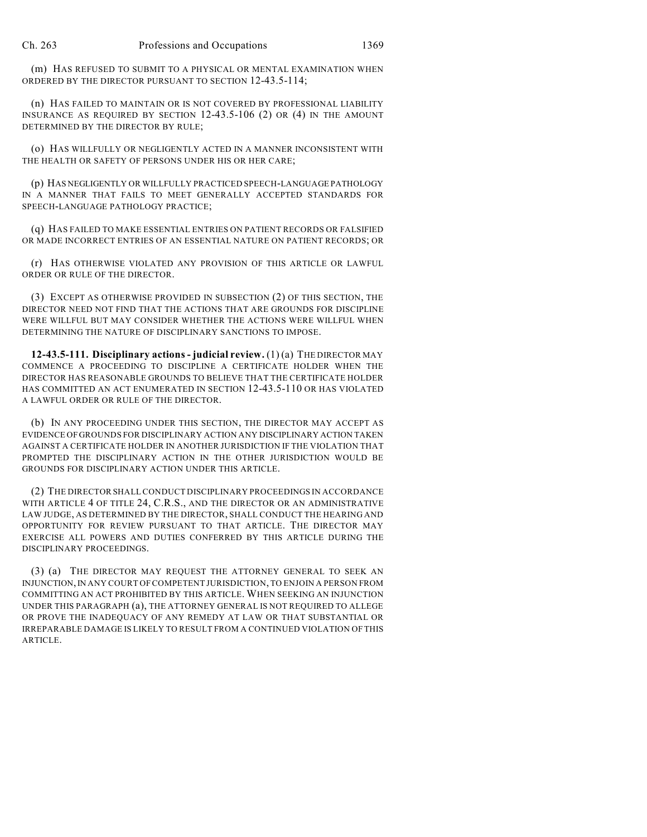(m) HAS REFUSED TO SUBMIT TO A PHYSICAL OR MENTAL EXAMINATION WHEN ORDERED BY THE DIRECTOR PURSUANT TO SECTION 12-43.5-114;

(n) HAS FAILED TO MAINTAIN OR IS NOT COVERED BY PROFESSIONAL LIABILITY INSURANCE AS REQUIRED BY SECTION 12-43.5-106 (2) OR (4) IN THE AMOUNT DETERMINED BY THE DIRECTOR BY RULE;

(o) HAS WILLFULLY OR NEGLIGENTLY ACTED IN A MANNER INCONSISTENT WITH THE HEALTH OR SAFETY OF PERSONS UNDER HIS OR HER CARE;

(p) HAS NEGLIGENTLY OR WILLFULLY PRACTICED SPEECH-LANGUAGE PATHOLOGY IN A MANNER THAT FAILS TO MEET GENERALLY ACCEPTED STANDARDS FOR SPEECH-LANGUAGE PATHOLOGY PRACTICE;

(q) HAS FAILED TO MAKE ESSENTIAL ENTRIES ON PATIENT RECORDS OR FALSIFIED OR MADE INCORRECT ENTRIES OF AN ESSENTIAL NATURE ON PATIENT RECORDS; OR

(r) HAS OTHERWISE VIOLATED ANY PROVISION OF THIS ARTICLE OR LAWFUL ORDER OR RULE OF THE DIRECTOR.

(3) EXCEPT AS OTHERWISE PROVIDED IN SUBSECTION (2) OF THIS SECTION, THE DIRECTOR NEED NOT FIND THAT THE ACTIONS THAT ARE GROUNDS FOR DISCIPLINE WERE WILLFUL BUT MAY CONSIDER WHETHER THE ACTIONS WERE WILLFUL WHEN DETERMINING THE NATURE OF DISCIPLINARY SANCTIONS TO IMPOSE.

**12-43.5-111. Disciplinary actions - judicial review.** (1) (a) THE DIRECTOR MAY COMMENCE A PROCEEDING TO DISCIPLINE A CERTIFICATE HOLDER WHEN THE DIRECTOR HAS REASONABLE GROUNDS TO BELIEVE THAT THE CERTIFICATE HOLDER HAS COMMITTED AN ACT ENUMERATED IN SECTION 12-43.5-110 OR HAS VIOLATED A LAWFUL ORDER OR RULE OF THE DIRECTOR.

(b) IN ANY PROCEEDING UNDER THIS SECTION, THE DIRECTOR MAY ACCEPT AS EVIDENCE OF GROUNDS FOR DISCIPLINARY ACTION ANY DISCIPLINARY ACTION TAKEN AGAINST A CERTIFICATE HOLDER IN ANOTHER JURISDICTION IF THE VIOLATION THAT PROMPTED THE DISCIPLINARY ACTION IN THE OTHER JURISDICTION WOULD BE GROUNDS FOR DISCIPLINARY ACTION UNDER THIS ARTICLE.

(2) THE DIRECTOR SHALL CONDUCT DISCIPLINARY PROCEEDINGS IN ACCORDANCE WITH ARTICLE 4 OF TITLE 24, C.R.S., AND THE DIRECTOR OR AN ADMINISTRATIVE LAW JUDGE, AS DETERMINED BY THE DIRECTOR, SHALL CONDUCT THE HEARING AND OPPORTUNITY FOR REVIEW PURSUANT TO THAT ARTICLE. THE DIRECTOR MAY EXERCISE ALL POWERS AND DUTIES CONFERRED BY THIS ARTICLE DURING THE DISCIPLINARY PROCEEDINGS.

(3) (a) THE DIRECTOR MAY REQUEST THE ATTORNEY GENERAL TO SEEK AN INJUNCTION,IN ANY COURT OF COMPETENT JURISDICTION, TO ENJOIN A PERSON FROM COMMITTING AN ACT PROHIBITED BY THIS ARTICLE. WHEN SEEKING AN INJUNCTION UNDER THIS PARAGRAPH (a), THE ATTORNEY GENERAL IS NOT REQUIRED TO ALLEGE OR PROVE THE INADEQUACY OF ANY REMEDY AT LAW OR THAT SUBSTANTIAL OR IRREPARABLE DAMAGE IS LIKELY TO RESULT FROM A CONTINUED VIOLATION OF THIS ARTICLE.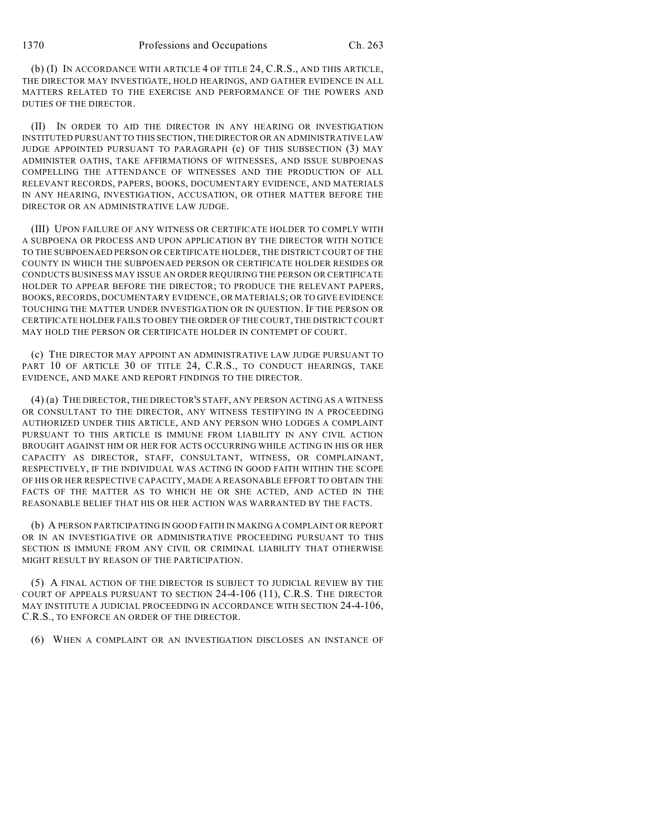(b) (I) IN ACCORDANCE WITH ARTICLE 4 OF TITLE 24, C.R.S., AND THIS ARTICLE, THE DIRECTOR MAY INVESTIGATE, HOLD HEARINGS, AND GATHER EVIDENCE IN ALL MATTERS RELATED TO THE EXERCISE AND PERFORMANCE OF THE POWERS AND DUTIES OF THE DIRECTOR.

(II) IN ORDER TO AID THE DIRECTOR IN ANY HEARING OR INVESTIGATION INSTITUTED PURSUANT TO THIS SECTION, THE DIRECTOR OR AN ADMINISTRATIVE LAW JUDGE APPOINTED PURSUANT TO PARAGRAPH (c) OF THIS SUBSECTION (3) MAY ADMINISTER OATHS, TAKE AFFIRMATIONS OF WITNESSES, AND ISSUE SUBPOENAS COMPELLING THE ATTENDANCE OF WITNESSES AND THE PRODUCTION OF ALL RELEVANT RECORDS, PAPERS, BOOKS, DOCUMENTARY EVIDENCE, AND MATERIALS IN ANY HEARING, INVESTIGATION, ACCUSATION, OR OTHER MATTER BEFORE THE DIRECTOR OR AN ADMINISTRATIVE LAW JUDGE.

(III) UPON FAILURE OF ANY WITNESS OR CERTIFICATE HOLDER TO COMPLY WITH A SUBPOENA OR PROCESS AND UPON APPLICATION BY THE DIRECTOR WITH NOTICE TO THE SUBPOENAED PERSON OR CERTIFICATE HOLDER, THE DISTRICT COURT OF THE COUNTY IN WHICH THE SUBPOENAED PERSON OR CERTIFICATE HOLDER RESIDES OR CONDUCTS BUSINESS MAY ISSUE AN ORDER REQUIRING THE PERSON OR CERTIFICATE HOLDER TO APPEAR BEFORE THE DIRECTOR; TO PRODUCE THE RELEVANT PAPERS, BOOKS, RECORDS, DOCUMENTARY EVIDENCE, OR MATERIALS; OR TO GIVE EVIDENCE TOUCHING THE MATTER UNDER INVESTIGATION OR IN QUESTION. IF THE PERSON OR CERTIFICATE HOLDER FAILS TO OBEY THE ORDER OF THE COURT, THE DISTRICT COURT MAY HOLD THE PERSON OR CERTIFICATE HOLDER IN CONTEMPT OF COURT.

(c) THE DIRECTOR MAY APPOINT AN ADMINISTRATIVE LAW JUDGE PURSUANT TO PART 10 OF ARTICLE 30 OF TITLE 24, C.R.S., TO CONDUCT HEARINGS, TAKE EVIDENCE, AND MAKE AND REPORT FINDINGS TO THE DIRECTOR.

(4) (a) THE DIRECTOR, THE DIRECTOR'S STAFF, ANY PERSON ACTING AS A WITNESS OR CONSULTANT TO THE DIRECTOR, ANY WITNESS TESTIFYING IN A PROCEEDING AUTHORIZED UNDER THIS ARTICLE, AND ANY PERSON WHO LODGES A COMPLAINT PURSUANT TO THIS ARTICLE IS IMMUNE FROM LIABILITY IN ANY CIVIL ACTION BROUGHT AGAINST HIM OR HER FOR ACTS OCCURRING WHILE ACTING IN HIS OR HER CAPACITY AS DIRECTOR, STAFF, CONSULTANT, WITNESS, OR COMPLAINANT, RESPECTIVELY, IF THE INDIVIDUAL WAS ACTING IN GOOD FAITH WITHIN THE SCOPE OF HIS OR HER RESPECTIVE CAPACITY, MADE A REASONABLE EFFORT TO OBTAIN THE FACTS OF THE MATTER AS TO WHICH HE OR SHE ACTED, AND ACTED IN THE REASONABLE BELIEF THAT HIS OR HER ACTION WAS WARRANTED BY THE FACTS.

(b) A PERSON PARTICIPATING IN GOOD FAITH IN MAKING A COMPLAINT OR REPORT OR IN AN INVESTIGATIVE OR ADMINISTRATIVE PROCEEDING PURSUANT TO THIS SECTION IS IMMUNE FROM ANY CIVIL OR CRIMINAL LIABILITY THAT OTHERWISE MIGHT RESULT BY REASON OF THE PARTICIPATION.

(5) A FINAL ACTION OF THE DIRECTOR IS SUBJECT TO JUDICIAL REVIEW BY THE COURT OF APPEALS PURSUANT TO SECTION 24-4-106 (11), C.R.S. THE DIRECTOR MAY INSTITUTE A JUDICIAL PROCEEDING IN ACCORDANCE WITH SECTION 24-4-106, C.R.S., TO ENFORCE AN ORDER OF THE DIRECTOR.

(6) WHEN A COMPLAINT OR AN INVESTIGATION DISCLOSES AN INSTANCE OF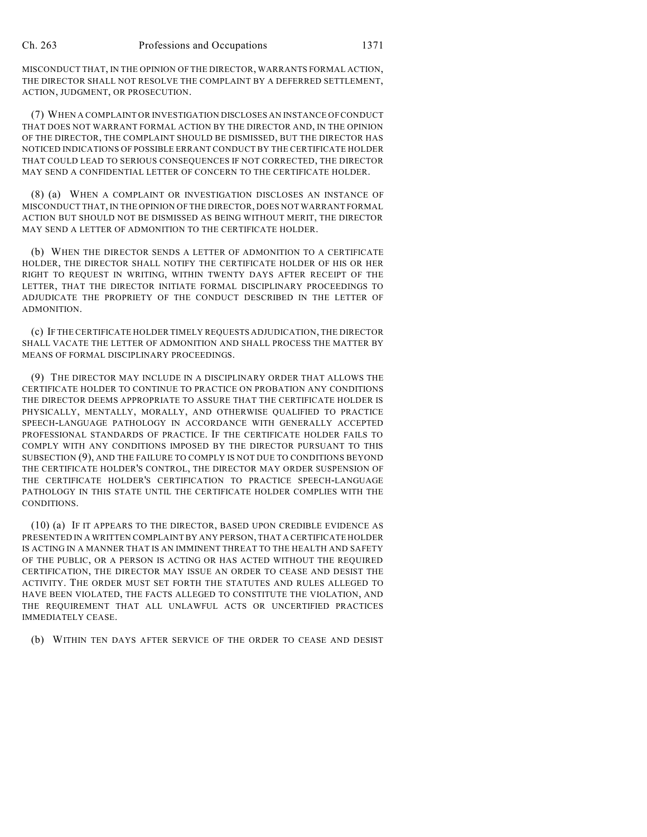MISCONDUCT THAT, IN THE OPINION OF THE DIRECTOR, WARRANTS FORMAL ACTION, THE DIRECTOR SHALL NOT RESOLVE THE COMPLAINT BY A DEFERRED SETTLEMENT, ACTION, JUDGMENT, OR PROSECUTION.

(7) WHEN A COMPLAINT OR INVESTIGATION DISCLOSES AN INSTANCE OF CONDUCT THAT DOES NOT WARRANT FORMAL ACTION BY THE DIRECTOR AND, IN THE OPINION OF THE DIRECTOR, THE COMPLAINT SHOULD BE DISMISSED, BUT THE DIRECTOR HAS NOTICED INDICATIONS OF POSSIBLE ERRANT CONDUCT BY THE CERTIFICATE HOLDER THAT COULD LEAD TO SERIOUS CONSEQUENCES IF NOT CORRECTED, THE DIRECTOR MAY SEND A CONFIDENTIAL LETTER OF CONCERN TO THE CERTIFICATE HOLDER.

(8) (a) WHEN A COMPLAINT OR INVESTIGATION DISCLOSES AN INSTANCE OF MISCONDUCT THAT, IN THE OPINION OF THE DIRECTOR, DOES NOT WARRANT FORMAL ACTION BUT SHOULD NOT BE DISMISSED AS BEING WITHOUT MERIT, THE DIRECTOR MAY SEND A LETTER OF ADMONITION TO THE CERTIFICATE HOLDER.

(b) WHEN THE DIRECTOR SENDS A LETTER OF ADMONITION TO A CERTIFICATE HOLDER, THE DIRECTOR SHALL NOTIFY THE CERTIFICATE HOLDER OF HIS OR HER RIGHT TO REQUEST IN WRITING, WITHIN TWENTY DAYS AFTER RECEIPT OF THE LETTER, THAT THE DIRECTOR INITIATE FORMAL DISCIPLINARY PROCEEDINGS TO ADJUDICATE THE PROPRIETY OF THE CONDUCT DESCRIBED IN THE LETTER OF ADMONITION.

(c) IF THE CERTIFICATE HOLDER TIMELY REQUESTS ADJUDICATION, THE DIRECTOR SHALL VACATE THE LETTER OF ADMONITION AND SHALL PROCESS THE MATTER BY MEANS OF FORMAL DISCIPLINARY PROCEEDINGS.

(9) THE DIRECTOR MAY INCLUDE IN A DISCIPLINARY ORDER THAT ALLOWS THE CERTIFICATE HOLDER TO CONTINUE TO PRACTICE ON PROBATION ANY CONDITIONS THE DIRECTOR DEEMS APPROPRIATE TO ASSURE THAT THE CERTIFICATE HOLDER IS PHYSICALLY, MENTALLY, MORALLY, AND OTHERWISE QUALIFIED TO PRACTICE SPEECH-LANGUAGE PATHOLOGY IN ACCORDANCE WITH GENERALLY ACCEPTED PROFESSIONAL STANDARDS OF PRACTICE. IF THE CERTIFICATE HOLDER FAILS TO COMPLY WITH ANY CONDITIONS IMPOSED BY THE DIRECTOR PURSUANT TO THIS SUBSECTION (9), AND THE FAILURE TO COMPLY IS NOT DUE TO CONDITIONS BEYOND THE CERTIFICATE HOLDER'S CONTROL, THE DIRECTOR MAY ORDER SUSPENSION OF THE CERTIFICATE HOLDER'S CERTIFICATION TO PRACTICE SPEECH-LANGUAGE PATHOLOGY IN THIS STATE UNTIL THE CERTIFICATE HOLDER COMPLIES WITH THE CONDITIONS.

(10) (a) IF IT APPEARS TO THE DIRECTOR, BASED UPON CREDIBLE EVIDENCE AS PRESENTED IN A WRITTEN COMPLAINT BY ANY PERSON, THAT A CERTIFICATE HOLDER IS ACTING IN A MANNER THAT IS AN IMMINENT THREAT TO THE HEALTH AND SAFETY OF THE PUBLIC, OR A PERSON IS ACTING OR HAS ACTED WITHOUT THE REQUIRED CERTIFICATION, THE DIRECTOR MAY ISSUE AN ORDER TO CEASE AND DESIST THE ACTIVITY. THE ORDER MUST SET FORTH THE STATUTES AND RULES ALLEGED TO HAVE BEEN VIOLATED, THE FACTS ALLEGED TO CONSTITUTE THE VIOLATION, AND THE REQUIREMENT THAT ALL UNLAWFUL ACTS OR UNCERTIFIED PRACTICES IMMEDIATELY CEASE.

(b) WITHIN TEN DAYS AFTER SERVICE OF THE ORDER TO CEASE AND DESIST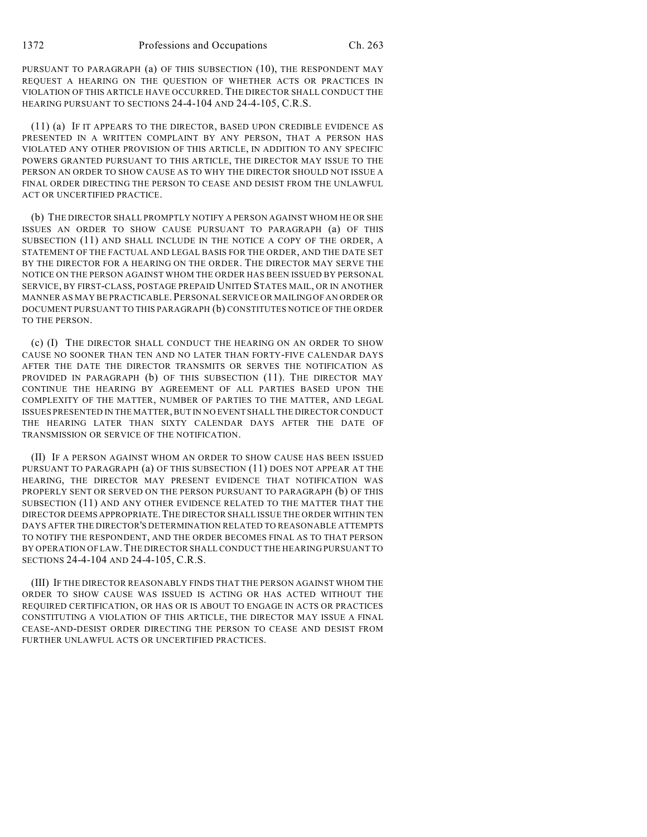PURSUANT TO PARAGRAPH (a) OF THIS SUBSECTION (10), THE RESPONDENT MAY REQUEST A HEARING ON THE QUESTION OF WHETHER ACTS OR PRACTICES IN VIOLATION OF THIS ARTICLE HAVE OCCURRED. THE DIRECTOR SHALL CONDUCT THE HEARING PURSUANT TO SECTIONS 24-4-104 AND 24-4-105, C.R.S.

(11) (a) IF IT APPEARS TO THE DIRECTOR, BASED UPON CREDIBLE EVIDENCE AS PRESENTED IN A WRITTEN COMPLAINT BY ANY PERSON, THAT A PERSON HAS VIOLATED ANY OTHER PROVISION OF THIS ARTICLE, IN ADDITION TO ANY SPECIFIC POWERS GRANTED PURSUANT TO THIS ARTICLE, THE DIRECTOR MAY ISSUE TO THE PERSON AN ORDER TO SHOW CAUSE AS TO WHY THE DIRECTOR SHOULD NOT ISSUE A FINAL ORDER DIRECTING THE PERSON TO CEASE AND DESIST FROM THE UNLAWFUL ACT OR UNCERTIFIED PRACTICE.

(b) THE DIRECTOR SHALL PROMPTLY NOTIFY A PERSON AGAINST WHOM HE OR SHE ISSUES AN ORDER TO SHOW CAUSE PURSUANT TO PARAGRAPH (a) OF THIS SUBSECTION (11) AND SHALL INCLUDE IN THE NOTICE A COPY OF THE ORDER, A STATEMENT OF THE FACTUAL AND LEGAL BASIS FOR THE ORDER, AND THE DATE SET BY THE DIRECTOR FOR A HEARING ON THE ORDER. THE DIRECTOR MAY SERVE THE NOTICE ON THE PERSON AGAINST WHOM THE ORDER HAS BEEN ISSUED BY PERSONAL SERVICE, BY FIRST-CLASS, POSTAGE PREPAID UNITED STATES MAIL, OR IN ANOTHER MANNER AS MAY BE PRACTICABLE.PERSONAL SERVICE OR MAILING OF AN ORDER OR DOCUMENT PURSUANT TO THIS PARAGRAPH (b) CONSTITUTES NOTICE OF THE ORDER TO THE PERSON.

(c) (I) THE DIRECTOR SHALL CONDUCT THE HEARING ON AN ORDER TO SHOW CAUSE NO SOONER THAN TEN AND NO LATER THAN FORTY-FIVE CALENDAR DAYS AFTER THE DATE THE DIRECTOR TRANSMITS OR SERVES THE NOTIFICATION AS PROVIDED IN PARAGRAPH (b) OF THIS SUBSECTION (11). THE DIRECTOR MAY CONTINUE THE HEARING BY AGREEMENT OF ALL PARTIES BASED UPON THE COMPLEXITY OF THE MATTER, NUMBER OF PARTIES TO THE MATTER, AND LEGAL ISSUES PRESENTED IN THE MATTER, BUT IN NO EVENT SHALL THE DIRECTOR CONDUCT THE HEARING LATER THAN SIXTY CALENDAR DAYS AFTER THE DATE OF TRANSMISSION OR SERVICE OF THE NOTIFICATION.

(II) IF A PERSON AGAINST WHOM AN ORDER TO SHOW CAUSE HAS BEEN ISSUED PURSUANT TO PARAGRAPH (a) OF THIS SUBSECTION (11) DOES NOT APPEAR AT THE HEARING, THE DIRECTOR MAY PRESENT EVIDENCE THAT NOTIFICATION WAS PROPERLY SENT OR SERVED ON THE PERSON PURSUANT TO PARAGRAPH (b) OF THIS SUBSECTION (11) AND ANY OTHER EVIDENCE RELATED TO THE MATTER THAT THE DIRECTOR DEEMS APPROPRIATE.THE DIRECTOR SHALL ISSUE THE ORDER WITHIN TEN DAYS AFTER THE DIRECTOR'S DETERMINATION RELATED TO REASONABLE ATTEMPTS TO NOTIFY THE RESPONDENT, AND THE ORDER BECOMES FINAL AS TO THAT PERSON BY OPERATION OF LAW.THE DIRECTOR SHALL CONDUCT THE HEARING PURSUANT TO SECTIONS 24-4-104 AND 24-4-105, C.R.S.

(III) IF THE DIRECTOR REASONABLY FINDS THAT THE PERSON AGAINST WHOM THE ORDER TO SHOW CAUSE WAS ISSUED IS ACTING OR HAS ACTED WITHOUT THE REQUIRED CERTIFICATION, OR HAS OR IS ABOUT TO ENGAGE IN ACTS OR PRACTICES CONSTITUTING A VIOLATION OF THIS ARTICLE, THE DIRECTOR MAY ISSUE A FINAL CEASE-AND-DESIST ORDER DIRECTING THE PERSON TO CEASE AND DESIST FROM FURTHER UNLAWFUL ACTS OR UNCERTIFIED PRACTICES.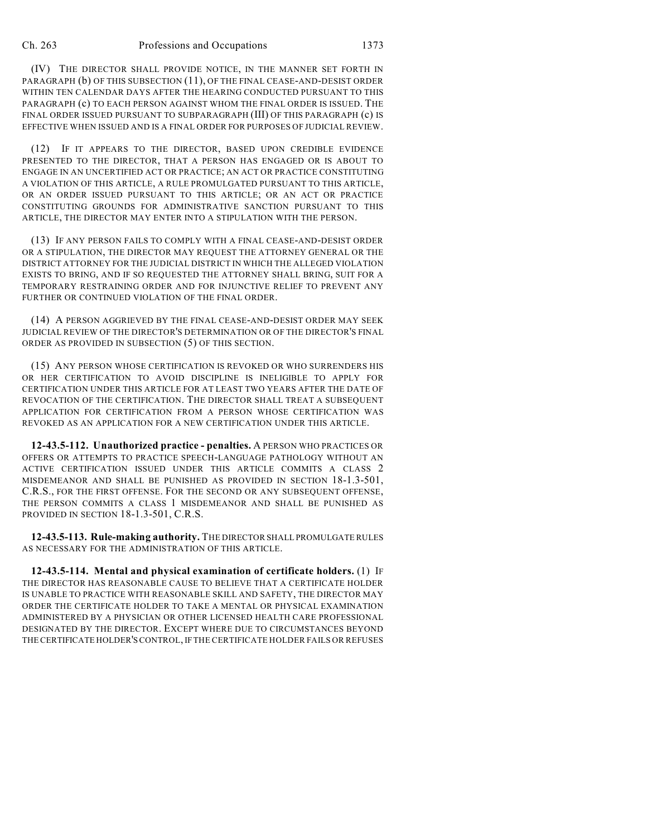(IV) THE DIRECTOR SHALL PROVIDE NOTICE, IN THE MANNER SET FORTH IN PARAGRAPH (b) OF THIS SUBSECTION (11), OF THE FINAL CEASE-AND-DESIST ORDER WITHIN TEN CALENDAR DAYS AFTER THE HEARING CONDUCTED PURSUANT TO THIS PARAGRAPH (c) TO EACH PERSON AGAINST WHOM THE FINAL ORDER IS ISSUED. THE FINAL ORDER ISSUED PURSUANT TO SUBPARAGRAPH (III) OF THIS PARAGRAPH (c) IS EFFECTIVE WHEN ISSUED AND IS A FINAL ORDER FOR PURPOSES OF JUDICIAL REVIEW.

(12) IF IT APPEARS TO THE DIRECTOR, BASED UPON CREDIBLE EVIDENCE PRESENTED TO THE DIRECTOR, THAT A PERSON HAS ENGAGED OR IS ABOUT TO ENGAGE IN AN UNCERTIFIED ACT OR PRACTICE; AN ACT OR PRACTICE CONSTITUTING A VIOLATION OF THIS ARTICLE, A RULE PROMULGATED PURSUANT TO THIS ARTICLE, OR AN ORDER ISSUED PURSUANT TO THIS ARTICLE; OR AN ACT OR PRACTICE CONSTITUTING GROUNDS FOR ADMINISTRATIVE SANCTION PURSUANT TO THIS ARTICLE, THE DIRECTOR MAY ENTER INTO A STIPULATION WITH THE PERSON.

(13) IF ANY PERSON FAILS TO COMPLY WITH A FINAL CEASE-AND-DESIST ORDER OR A STIPULATION, THE DIRECTOR MAY REQUEST THE ATTORNEY GENERAL OR THE DISTRICT ATTORNEY FOR THE JUDICIAL DISTRICT IN WHICH THE ALLEGED VIOLATION EXISTS TO BRING, AND IF SO REQUESTED THE ATTORNEY SHALL BRING, SUIT FOR A TEMPORARY RESTRAINING ORDER AND FOR INJUNCTIVE RELIEF TO PREVENT ANY FURTHER OR CONTINUED VIOLATION OF THE FINAL ORDER.

(14) A PERSON AGGRIEVED BY THE FINAL CEASE-AND-DESIST ORDER MAY SEEK JUDICIAL REVIEW OF THE DIRECTOR'S DETERMINATION OR OF THE DIRECTOR'S FINAL ORDER AS PROVIDED IN SUBSECTION (5) OF THIS SECTION.

(15) ANY PERSON WHOSE CERTIFICATION IS REVOKED OR WHO SURRENDERS HIS OR HER CERTIFICATION TO AVOID DISCIPLINE IS INELIGIBLE TO APPLY FOR CERTIFICATION UNDER THIS ARTICLE FOR AT LEAST TWO YEARS AFTER THE DATE OF REVOCATION OF THE CERTIFICATION. THE DIRECTOR SHALL TREAT A SUBSEQUENT APPLICATION FOR CERTIFICATION FROM A PERSON WHOSE CERTIFICATION WAS REVOKED AS AN APPLICATION FOR A NEW CERTIFICATION UNDER THIS ARTICLE.

**12-43.5-112. Unauthorized practice - penalties.** A PERSON WHO PRACTICES OR OFFERS OR ATTEMPTS TO PRACTICE SPEECH-LANGUAGE PATHOLOGY WITHOUT AN ACTIVE CERTIFICATION ISSUED UNDER THIS ARTICLE COMMITS A CLASS 2 MISDEMEANOR AND SHALL BE PUNISHED AS PROVIDED IN SECTION 18-1.3-501, C.R.S., FOR THE FIRST OFFENSE. FOR THE SECOND OR ANY SUBSEQUENT OFFENSE, THE PERSON COMMITS A CLASS 1 MISDEMEANOR AND SHALL BE PUNISHED AS PROVIDED IN SECTION 18-1.3-501, C.R.S.

**12-43.5-113. Rule-making authority.** THE DIRECTOR SHALL PROMULGATE RULES AS NECESSARY FOR THE ADMINISTRATION OF THIS ARTICLE.

**12-43.5-114. Mental and physical examination of certificate holders.** (1) IF THE DIRECTOR HAS REASONABLE CAUSE TO BELIEVE THAT A CERTIFICATE HOLDER IS UNABLE TO PRACTICE WITH REASONABLE SKILL AND SAFETY, THE DIRECTOR MAY ORDER THE CERTIFICATE HOLDER TO TAKE A MENTAL OR PHYSICAL EXAMINATION ADMINISTERED BY A PHYSICIAN OR OTHER LICENSED HEALTH CARE PROFESSIONAL DESIGNATED BY THE DIRECTOR. EXCEPT WHERE DUE TO CIRCUMSTANCES BEYOND THE CERTIFICATE HOLDER'SCONTROL, IF THE CERTIFICATE HOLDER FAILS OR REFUSES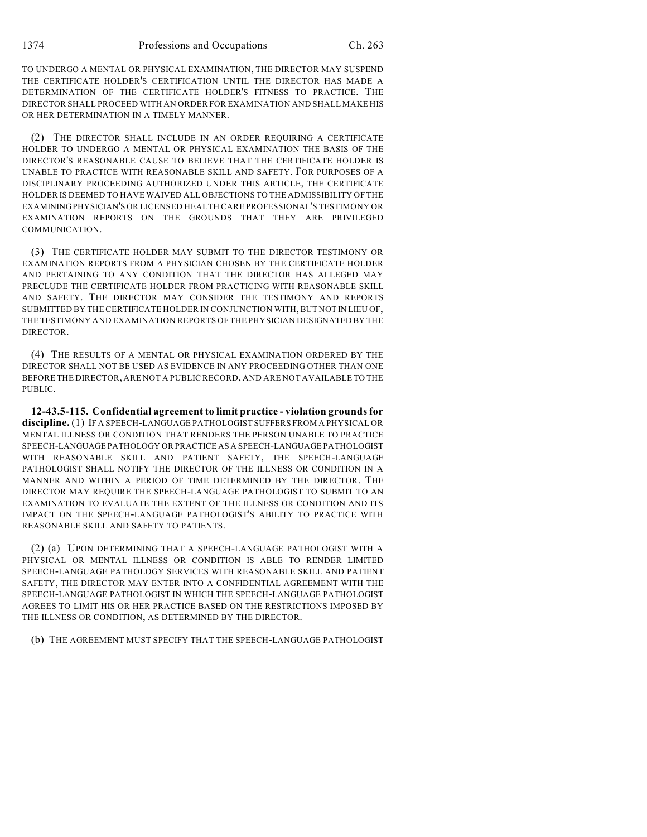TO UNDERGO A MENTAL OR PHYSICAL EXAMINATION, THE DIRECTOR MAY SUSPEND THE CERTIFICATE HOLDER'S CERTIFICATION UNTIL THE DIRECTOR HAS MADE A DETERMINATION OF THE CERTIFICATE HOLDER'S FITNESS TO PRACTICE. THE DIRECTOR SHALL PROCEED WITH AN ORDER FOR EXAMINATION AND SHALL MAKE HIS OR HER DETERMINATION IN A TIMELY MANNER.

(2) THE DIRECTOR SHALL INCLUDE IN AN ORDER REQUIRING A CERTIFICATE HOLDER TO UNDERGO A MENTAL OR PHYSICAL EXAMINATION THE BASIS OF THE DIRECTOR'S REASONABLE CAUSE TO BELIEVE THAT THE CERTIFICATE HOLDER IS UNABLE TO PRACTICE WITH REASONABLE SKILL AND SAFETY. FOR PURPOSES OF A DISCIPLINARY PROCEEDING AUTHORIZED UNDER THIS ARTICLE, THE CERTIFICATE HOLDER IS DEEMED TO HAVE WAIVED ALL OBJECTIONS TO THE ADMISSIBILITY OF THE EXAMININGPHYSICIAN'S OR LICENSED HEALTH CARE PROFESSIONAL'S TESTIMONY OR EXAMINATION REPORTS ON THE GROUNDS THAT THEY ARE PRIVILEGED COMMUNICATION.

(3) THE CERTIFICATE HOLDER MAY SUBMIT TO THE DIRECTOR TESTIMONY OR EXAMINATION REPORTS FROM A PHYSICIAN CHOSEN BY THE CERTIFICATE HOLDER AND PERTAINING TO ANY CONDITION THAT THE DIRECTOR HAS ALLEGED MAY PRECLUDE THE CERTIFICATE HOLDER FROM PRACTICING WITH REASONABLE SKILL AND SAFETY. THE DIRECTOR MAY CONSIDER THE TESTIMONY AND REPORTS SUBMITTED BY THE CERTIFICATE HOLDER IN CONJUNCTION WITH, BUT NOT IN LIEU OF, THE TESTIMONY AND EXAMINATION REPORTS OF THE PHYSICIAN DESIGNATED BY THE DIRECTOR.

(4) THE RESULTS OF A MENTAL OR PHYSICAL EXAMINATION ORDERED BY THE DIRECTOR SHALL NOT BE USED AS EVIDENCE IN ANY PROCEEDING OTHER THAN ONE BEFORE THE DIRECTOR, ARE NOT A PUBLIC RECORD, AND ARE NOT AVAILABLE TO THE PUBLIC.

**12-43.5-115. Confidential agreement to limit practice - violation groundsfor discipline.** (1) IF A SPEECH-LANGUAGE PATHOLOGIST SUFFERS FROM A PHYSICAL OR MENTAL ILLNESS OR CONDITION THAT RENDERS THE PERSON UNABLE TO PRACTICE SPEECH-LANGUAGE PATHOLOGY OR PRACTICE AS A SPEECH-LANGUAGE PATHOLOGIST WITH REASONABLE SKILL AND PATIENT SAFETY, THE SPEECH-LANGUAGE PATHOLOGIST SHALL NOTIFY THE DIRECTOR OF THE ILLNESS OR CONDITION IN A MANNER AND WITHIN A PERIOD OF TIME DETERMINED BY THE DIRECTOR. THE DIRECTOR MAY REQUIRE THE SPEECH-LANGUAGE PATHOLOGIST TO SUBMIT TO AN EXAMINATION TO EVALUATE THE EXTENT OF THE ILLNESS OR CONDITION AND ITS IMPACT ON THE SPEECH-LANGUAGE PATHOLOGIST'S ABILITY TO PRACTICE WITH REASONABLE SKILL AND SAFETY TO PATIENTS.

(2) (a) UPON DETERMINING THAT A SPEECH-LANGUAGE PATHOLOGIST WITH A PHYSICAL OR MENTAL ILLNESS OR CONDITION IS ABLE TO RENDER LIMITED SPEECH-LANGUAGE PATHOLOGY SERVICES WITH REASONABLE SKILL AND PATIENT SAFETY, THE DIRECTOR MAY ENTER INTO A CONFIDENTIAL AGREEMENT WITH THE SPEECH-LANGUAGE PATHOLOGIST IN WHICH THE SPEECH-LANGUAGE PATHOLOGIST AGREES TO LIMIT HIS OR HER PRACTICE BASED ON THE RESTRICTIONS IMPOSED BY THE ILLNESS OR CONDITION, AS DETERMINED BY THE DIRECTOR.

(b) THE AGREEMENT MUST SPECIFY THAT THE SPEECH-LANGUAGE PATHOLOGIST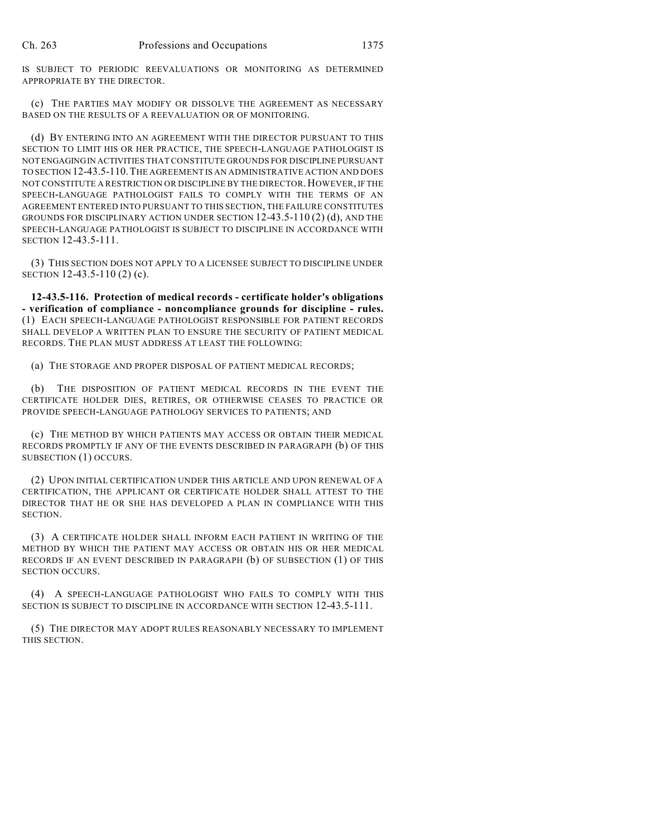IS SUBJECT TO PERIODIC REEVALUATIONS OR MONITORING AS DETERMINED APPROPRIATE BY THE DIRECTOR.

(c) THE PARTIES MAY MODIFY OR DISSOLVE THE AGREEMENT AS NECESSARY BASED ON THE RESULTS OF A REEVALUATION OR OF MONITORING.

(d) BY ENTERING INTO AN AGREEMENT WITH THE DIRECTOR PURSUANT TO THIS SECTION TO LIMIT HIS OR HER PRACTICE, THE SPEECH-LANGUAGE PATHOLOGIST IS NOT ENGAGINGIN ACTIVITIES THAT CONSTITUTE GROUNDS FOR DISCIPLINE PURSUANT TO SECTION 12-43.5-110.THE AGREEMENT IS AN ADMINISTRATIVE ACTION AND DOES NOT CONSTITUTE A RESTRICTION OR DISCIPLINE BY THE DIRECTOR.HOWEVER, IF THE SPEECH-LANGUAGE PATHOLOGIST FAILS TO COMPLY WITH THE TERMS OF AN AGREEMENT ENTERED INTO PURSUANT TO THIS SECTION, THE FAILURE CONSTITUTES GROUNDS FOR DISCIPLINARY ACTION UNDER SECTION 12-43.5-110 (2) (d), AND THE SPEECH-LANGUAGE PATHOLOGIST IS SUBJECT TO DISCIPLINE IN ACCORDANCE WITH SECTION 12-43.5-111.

(3) THIS SECTION DOES NOT APPLY TO A LICENSEE SUBJECT TO DISCIPLINE UNDER SECTION 12-43.5-110 (2) (c).

**12-43.5-116. Protection of medical records - certificate holder's obligations - verification of compliance - noncompliance grounds for discipline - rules.** (1) EACH SPEECH-LANGUAGE PATHOLOGIST RESPONSIBLE FOR PATIENT RECORDS SHALL DEVELOP A WRITTEN PLAN TO ENSURE THE SECURITY OF PATIENT MEDICAL RECORDS. THE PLAN MUST ADDRESS AT LEAST THE FOLLOWING:

(a) THE STORAGE AND PROPER DISPOSAL OF PATIENT MEDICAL RECORDS;

(b) THE DISPOSITION OF PATIENT MEDICAL RECORDS IN THE EVENT THE CERTIFICATE HOLDER DIES, RETIRES, OR OTHERWISE CEASES TO PRACTICE OR PROVIDE SPEECH-LANGUAGE PATHOLOGY SERVICES TO PATIENTS; AND

(c) THE METHOD BY WHICH PATIENTS MAY ACCESS OR OBTAIN THEIR MEDICAL RECORDS PROMPTLY IF ANY OF THE EVENTS DESCRIBED IN PARAGRAPH (b) OF THIS SUBSECTION (1) OCCURS.

(2) UPON INITIAL CERTIFICATION UNDER THIS ARTICLE AND UPON RENEWAL OF A CERTIFICATION, THE APPLICANT OR CERTIFICATE HOLDER SHALL ATTEST TO THE DIRECTOR THAT HE OR SHE HAS DEVELOPED A PLAN IN COMPLIANCE WITH THIS SECTION.

(3) A CERTIFICATE HOLDER SHALL INFORM EACH PATIENT IN WRITING OF THE METHOD BY WHICH THE PATIENT MAY ACCESS OR OBTAIN HIS OR HER MEDICAL RECORDS IF AN EVENT DESCRIBED IN PARAGRAPH (b) OF SUBSECTION (1) OF THIS SECTION OCCURS.

(4) A SPEECH-LANGUAGE PATHOLOGIST WHO FAILS TO COMPLY WITH THIS SECTION IS SUBJECT TO DISCIPLINE IN ACCORDANCE WITH SECTION 12-43.5-111.

(5) THE DIRECTOR MAY ADOPT RULES REASONABLY NECESSARY TO IMPLEMENT THIS SECTION.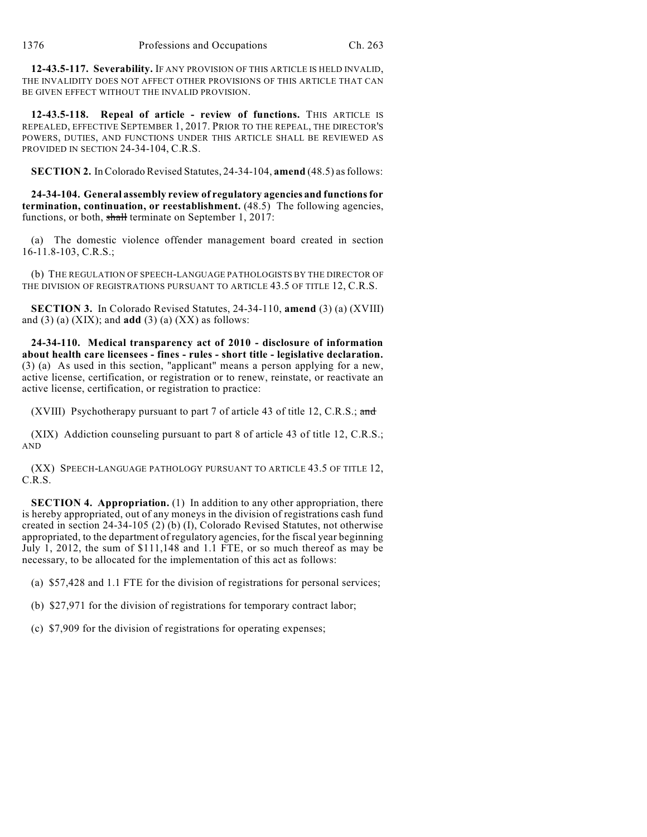**12-43.5-117. Severability.** IF ANY PROVISION OF THIS ARTICLE IS HELD INVALID, THE INVALIDITY DOES NOT AFFECT OTHER PROVISIONS OF THIS ARTICLE THAT CAN BE GIVEN EFFECT WITHOUT THE INVALID PROVISION.

**12-43.5-118. Repeal of article - review of functions.** THIS ARTICLE IS REPEALED, EFFECTIVE SEPTEMBER 1, 2017. PRIOR TO THE REPEAL, THE DIRECTOR'S POWERS, DUTIES, AND FUNCTIONS UNDER THIS ARTICLE SHALL BE REVIEWED AS PROVIDED IN SECTION 24-34-104, C.R.S.

**SECTION 2.** In Colorado Revised Statutes, 24-34-104, **amend** (48.5) asfollows:

**24-34-104. General assembly review of regulatory agencies and functionsfor termination, continuation, or reestablishment.** (48.5) The following agencies, functions, or both, shall terminate on September 1, 2017:

(a) The domestic violence offender management board created in section 16-11.8-103, C.R.S.;

(b) THE REGULATION OF SPEECH-LANGUAGE PATHOLOGISTS BY THE DIRECTOR OF THE DIVISION OF REGISTRATIONS PURSUANT TO ARTICLE 43.5 OF TITLE 12, C.R.S.

**SECTION 3.** In Colorado Revised Statutes, 24-34-110, **amend** (3) (a) (XVIII) and (3) (a) (XIX); and **add** (3) (a) (XX) as follows:

**24-34-110. Medical transparency act of 2010 - disclosure of information about health care licensees - fines - rules - short title - legislative declaration.** (3) (a) As used in this section, "applicant" means a person applying for a new, active license, certification, or registration or to renew, reinstate, or reactivate an active license, certification, or registration to practice:

(XVIII) Psychotherapy pursuant to part 7 of article 43 of title 12, C.R.S.; and

(XIX) Addiction counseling pursuant to part 8 of article 43 of title 12, C.R.S.; AND

(XX) SPEECH-LANGUAGE PATHOLOGY PURSUANT TO ARTICLE 43.5 OF TITLE 12, C.R.S.

**SECTION 4. Appropriation.** (1) In addition to any other appropriation, there is hereby appropriated, out of any moneys in the division of registrations cash fund created in section 24-34-105 (2) (b) (I), Colorado Revised Statutes, not otherwise appropriated, to the department of regulatory agencies, for the fiscal year beginning July 1, 2012, the sum of \$111,148 and 1.1 FTE, or so much thereof as may be necessary, to be allocated for the implementation of this act as follows:

(a) \$57,428 and 1.1 FTE for the division of registrations for personal services;

(b) \$27,971 for the division of registrations for temporary contract labor;

(c) \$7,909 for the division of registrations for operating expenses;